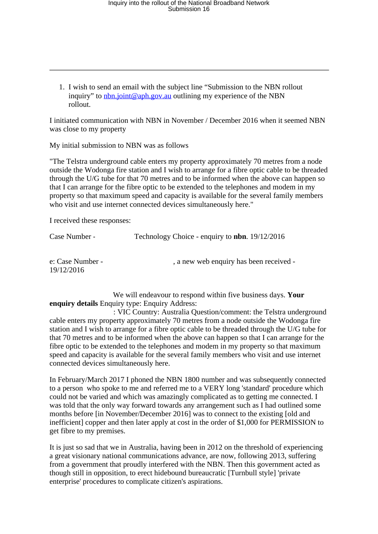1. I wish to send an email with the subject line "Submission to the NBN rollout inquiry" to [nbn.joint@aph.gov.au](mailto:nbn.joint@aph.gov.au) outlining my experience of the NBN rollout.

I initiated communication with NBN in November / December 2016 when it seemed NBN was close to my property

My initial submission to NBN was as follows

"The Telstra underground cable enters my property approximately 70 metres from a node outside the Wodonga fire station and I wish to arrange for a fibre optic cable to be threaded through the U/G tube for that 70 metres and to be informed when the above can happen so that I can arrange for the fibre optic to be extended to the telephones and modem in my property so that maximum speed and capacity is available for the several family members who visit and use internet connected devices simultaneously here."

I received these responses:

| Case Number -                  | Technology Choice - enquiry to <b>nbn</b> . 19/12/2016 |
|--------------------------------|--------------------------------------------------------|
| e: Case Number -<br>19/12/2016 | , a new web enquiry has been received -                |

 We will endeavour to respond within five business days. **Your enquiry details** Enquiry type: Enquiry Address:

: VIC Country: Australia Question/comment: the Telstra underground cable enters my property approximately 70 metres from a node outside the Wodonga fire station and I wish to arrange for a fibre optic cable to be threaded through the U/G tube for that 70 metres and to be informed when the above can happen so that I can arrange for the fibre optic to be extended to the telephones and modem in my property so that maximum speed and capacity is available for the several family members who visit and use internet connected devices simultaneously here.

In February/March 2017 I phoned the NBN 1800 number and was subsequently connected to a person who spoke to me and referred me to a VERY long 'standard' procedure which could not be varied and which was amazingly complicated as to getting me connected. I was told that the only way forward towards any arrangement such as I had outlined some months before [in November/December 2016] was to connect to the existing [old and inefficient] copper and then later apply at cost in the order of \$1,000 for PERMISSION to get fibre to my premises.

It is just so sad that we in Australia, having been in 2012 on the threshold of experiencing a great visionary national communications advance, are now, following 2013, suffering from a government that proudly interfered with the NBN. Then this government acted as though still in opposition, to erect hidebound bureaucratic [Turnbull style] 'private enterprise' procedures to complicate citizen's aspirations.